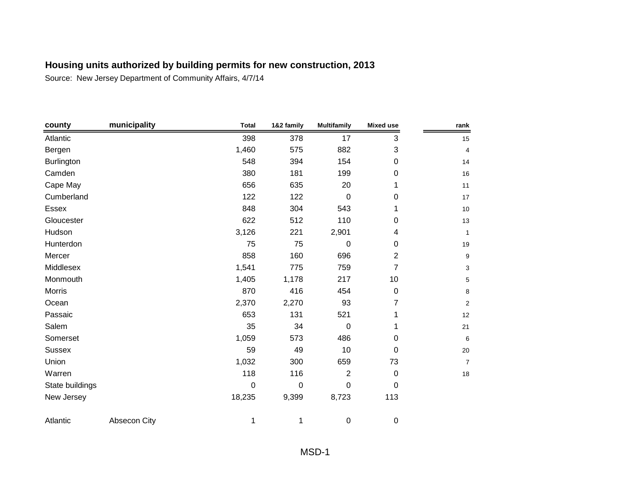| county          | municipality | <b>Total</b> | 1&2 family | <b>Multifamily</b> | <b>Mixed use</b> | rank           |
|-----------------|--------------|--------------|------------|--------------------|------------------|----------------|
| Atlantic        |              | 398          | 378        | 17                 | 3                | 15             |
| Bergen          |              | 1,460        | 575        | 882                | 3                | 4              |
| Burlington      |              | 548          | 394        | 154                | 0                | 14             |
| Camden          |              | 380          | 181        | 199                | 0                | 16             |
| Cape May        |              | 656          | 635        | 20                 | 1                | 11             |
| Cumberland      |              | 122          | 122        | $\mathbf 0$        | 0                | 17             |
| Essex           |              | 848          | 304        | 543                | 1                | 10             |
| Gloucester      |              | 622          | 512        | 110                | 0                | 13             |
| Hudson          |              | 3,126        | 221        | 2,901              | 4                | 1              |
| Hunterdon       |              | 75           | 75         | 0                  | 0                | 19             |
| Mercer          |              | 858          | 160        | 696                | $\overline{2}$   | 9              |
| Middlesex       |              | 1,541        | 775        | 759                | $\overline{7}$   | 3              |
| Monmouth        |              | 1,405        | 1,178      | 217                | 10               | 5              |
| <b>Morris</b>   |              | 870          | 416        | 454                | 0                | 8              |
| Ocean           |              | 2,370        | 2,270      | 93                 | 7                | $\overline{2}$ |
| Passaic         |              | 653          | 131        | 521                | 1                | 12             |
| Salem           |              | 35           | 34         | 0                  | 1                | 21             |
| Somerset        |              | 1,059        | 573        | 486                | 0                | 6              |
| <b>Sussex</b>   |              | 59           | 49         | 10                 | 0                | 20             |
| Union           |              | 1,032        | 300        | 659                | 73               | $\overline{7}$ |
| Warren          |              | 118          | 116        | $\overline{2}$     | $\pmb{0}$        | 18             |
| State buildings |              | $\mathbf 0$  | 0          | 0                  | 0                |                |
| New Jersey      |              | 18,235       | 9,399      | 8,723              | 113              |                |
| Atlantic        | Absecon City | 1            | 1          | 0                  | 0                |                |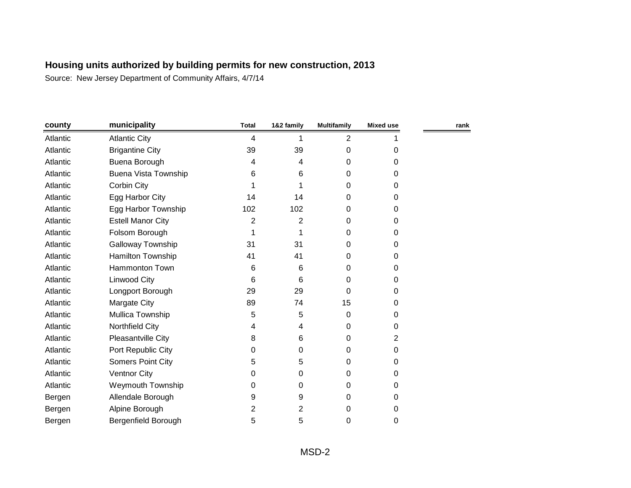| county   | municipality                | <b>Total</b> | 1&2 family | <b>Multifamily</b> | <b>Mixed use</b> | rank |
|----------|-----------------------------|--------------|------------|--------------------|------------------|------|
| Atlantic | <b>Atlantic City</b>        | 4            |            | $\overline{2}$     |                  |      |
| Atlantic | <b>Brigantine City</b>      | 39           | 39         | 0                  | $\Omega$         |      |
| Atlantic | Buena Borough               | 4            | 4          | 0                  | 0                |      |
| Atlantic | <b>Buena Vista Township</b> | 6            | 6          | 0                  | $\Omega$         |      |
| Atlantic | Corbin City                 |              |            | 0                  | 0                |      |
| Atlantic | Egg Harbor City             | 14           | 14         | 0                  | 0                |      |
| Atlantic | Egg Harbor Township         | 102          | 102        | 0                  | 0                |      |
| Atlantic | <b>Estell Manor City</b>    | 2            | 2          | 0                  | 0                |      |
| Atlantic | Folsom Borough              | 1            |            | 0                  | 0                |      |
| Atlantic | Galloway Township           | 31           | 31         | 0                  | 0                |      |
| Atlantic | Hamilton Township           | 41           | 41         | 0                  | 0                |      |
| Atlantic | Hammonton Town              | 6            | 6          | 0                  | 0                |      |
| Atlantic | Linwood City                | 6            | 6          | 0                  | 0                |      |
| Atlantic | Longport Borough            | 29           | 29         | 0                  | 0                |      |
| Atlantic | Margate City                | 89           | 74         | 15                 | $\Omega$         |      |
| Atlantic | Mullica Township            | 5            | 5          | 0                  | 0                |      |
| Atlantic | Northfield City             | 4            | 4          | 0                  | 0                |      |
| Atlantic | Pleasantville City          | 8            | 6          | 0                  | 2                |      |
| Atlantic | Port Republic City          | 0            | 0          | 0                  | 0                |      |
| Atlantic | Somers Point City           | 5            | 5          | 0                  | 0                |      |
| Atlantic | <b>Ventnor City</b>         | 0            | 0          | 0                  | 0                |      |
| Atlantic | Weymouth Township           | 0            | 0          | 0                  | $\Omega$         |      |
| Bergen   | Allendale Borough           | 9            | 9          | 0                  | 0                |      |
| Bergen   | Alpine Borough              | 2            | 2          | 0                  | 0                |      |
| Bergen   | Bergenfield Borough         | 5            | 5          | 0                  | 0                |      |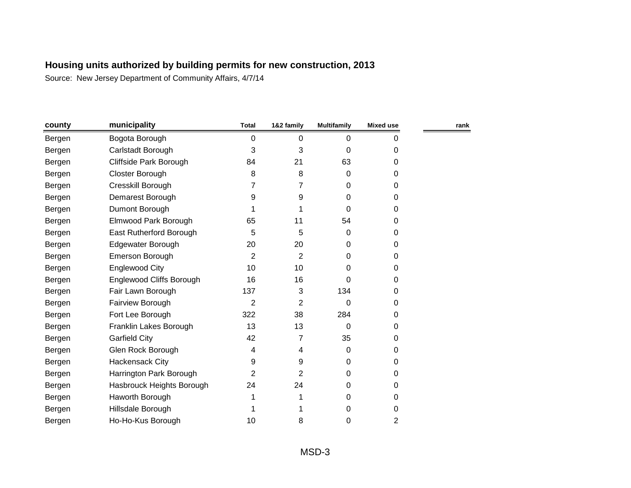| county | municipality                    | <b>Total</b>   | 1&2 family     | <b>Multifamily</b> | <b>Mixed use</b> | rank |
|--------|---------------------------------|----------------|----------------|--------------------|------------------|------|
| Bergen | Bogota Borough                  | 0              | 0              | 0                  | $\Omega$         |      |
| Bergen | Carlstadt Borough               | 3              | 3              | 0                  | 0                |      |
| Bergen | Cliffside Park Borough          | 84             | 21             | 63                 | 0                |      |
| Bergen | Closter Borough                 | 8              | 8              | 0                  | 0                |      |
| Bergen | Cresskill Borough               | 7              | $\overline{7}$ | 0                  | 0                |      |
| Bergen | Demarest Borough                | 9              | 9              | 0                  | 0                |      |
| Bergen | Dumont Borough                  |                |                | 0                  | 0                |      |
| Bergen | Elmwood Park Borough            | 65             | 11             | 54                 | 0                |      |
| Bergen | East Rutherford Borough         | 5              | 5              | 0                  | 0                |      |
| Bergen | Edgewater Borough               | 20             | 20             | 0                  | 0                |      |
| Bergen | Emerson Borough                 | $\overline{2}$ | $\overline{2}$ | 0                  | 0                |      |
| Bergen | <b>Englewood City</b>           | 10             | 10             | 0                  | 0                |      |
| Bergen | <b>Englewood Cliffs Borough</b> | 16             | 16             | 0                  | $\Omega$         |      |
| Bergen | Fair Lawn Borough               | 137            | 3              | 134                | 0                |      |
| Bergen | Fairview Borough                | $\overline{2}$ | $\overline{2}$ | 0                  | 0                |      |
| Bergen | Fort Lee Borough                | 322            | 38             | 284                | 0                |      |
| Bergen | Franklin Lakes Borough          | 13             | 13             | 0                  | 0                |      |
| Bergen | <b>Garfield City</b>            | 42             | 7              | 35                 | 0                |      |
| Bergen | Glen Rock Borough               | 4              | 4              | 0                  | 0                |      |
| Bergen | <b>Hackensack City</b>          | 9              | 9              | 0                  | 0                |      |
| Bergen | Harrington Park Borough         | 2              | $\overline{2}$ | 0                  | 0                |      |
| Bergen | Hasbrouck Heights Borough       | 24             | 24             | 0                  | 0                |      |
| Bergen | Haworth Borough                 |                |                | 0                  | 0                |      |
| Bergen | Hillsdale Borough               |                |                | 0                  | 0                |      |
| Bergen | Ho-Ho-Kus Borough               | 10             | 8              | 0                  | 2                |      |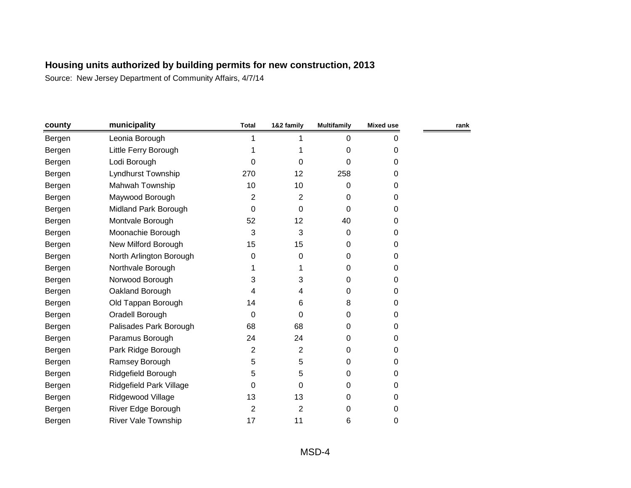| county | municipality               | <b>Total</b> | 1&2 family     | <b>Multifamily</b> | <b>Mixed use</b> | rank |
|--------|----------------------------|--------------|----------------|--------------------|------------------|------|
| Bergen | Leonia Borough             |              |                | 0                  | 0                |      |
| Bergen | Little Ferry Borough       |              |                | 0                  | 0                |      |
| Bergen | Lodi Borough               | 0            | 0              | 0                  | 0                |      |
| Bergen | Lyndhurst Township         | 270          | 12             | 258                | $\Omega$         |      |
| Bergen | Mahwah Township            | 10           | 10             | 0                  | 0                |      |
| Bergen | Maywood Borough            | 2            | 2              | 0                  | 0                |      |
| Bergen | Midland Park Borough       | $\Omega$     | 0              | 0                  | 0                |      |
| Bergen | Montvale Borough           | 52           | 12             | 40                 | 0                |      |
| Bergen | Moonachie Borough          | 3            | 3              | 0                  | 0                |      |
| Bergen | New Milford Borough        | 15           | 15             | 0                  | 0                |      |
| Bergen | North Arlington Borough    | 0            | 0              | 0                  | 0                |      |
| Bergen | Northvale Borough          |              |                | 0                  | 0                |      |
| Bergen | Norwood Borough            | 3            | 3              | 0                  | 0                |      |
| Bergen | Oakland Borough            | 4            | 4              | 0                  | 0                |      |
| Bergen | Old Tappan Borough         | 14           | 6              | 8                  | 0                |      |
| Bergen | Oradell Borough            | $\Omega$     | 0              | 0                  | 0                |      |
| Bergen | Palisades Park Borough     | 68           | 68             | 0                  | 0                |      |
| Bergen | Paramus Borough            | 24           | 24             | 0                  | 0                |      |
| Bergen | Park Ridge Borough         | 2            | $\overline{2}$ | 0                  | 0                |      |
| Bergen | Ramsey Borough             | 5            | 5              | 0                  | 0                |      |
| Bergen | Ridgefield Borough         | 5            | 5              | 0                  | 0                |      |
| Bergen | Ridgefield Park Village    | 0            | 0              | 0                  | 0                |      |
| Bergen | Ridgewood Village          | 13           | 13             | 0                  | 0                |      |
| Bergen | River Edge Borough         | 2            | $\overline{c}$ | 0                  | 0                |      |
| Bergen | <b>River Vale Township</b> | 17           | 11             | 6                  | 0                |      |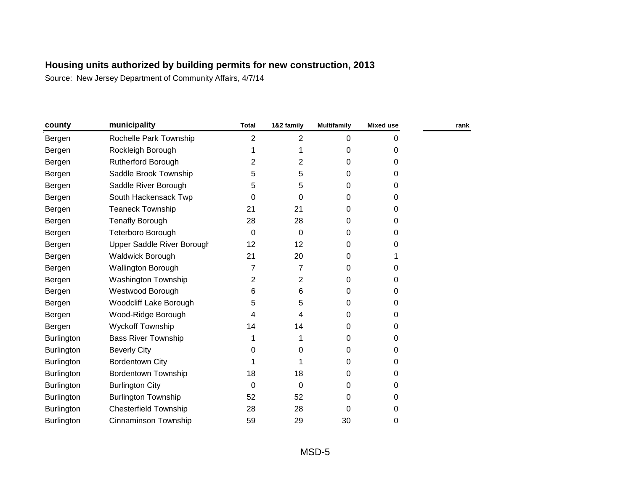| county            | municipality                  | <b>Total</b> | 1&2 family   | <b>Multifamily</b> | <b>Mixed use</b> | rank |
|-------------------|-------------------------------|--------------|--------------|--------------------|------------------|------|
| Bergen            | Rochelle Park Township        | 2            | 2            | 0                  | 0                |      |
| Bergen            | Rockleigh Borough             |              |              | 0                  | 0                |      |
| Bergen            | <b>Rutherford Borough</b>     | 2            | $\mathbf{2}$ | 0                  | 0                |      |
| Bergen            | Saddle Brook Township         | 5            | 5            | 0                  | 0                |      |
| Bergen            | Saddle River Borough          | 5            | 5            | 0                  | 0                |      |
| Bergen            | South Hackensack Twp          | 0            | 0            | 0                  | 0                |      |
| Bergen            | <b>Teaneck Township</b>       | 21           | 21           | 0                  | 0                |      |
| Bergen            | Tenafly Borough               | 28           | 28           | 0                  | 0                |      |
| Bergen            | Teterboro Borough             | 0            | 0            | 0                  | 0                |      |
| Bergen            | Upper Saddle River Borough    | 12           | 12           | 0                  | 0                |      |
| Bergen            | <b>Waldwick Borough</b>       | 21           | 20           | 0                  |                  |      |
| Bergen            | Wallington Borough            | 7            | 7            | 0                  | 0                |      |
| Bergen            | <b>Washington Township</b>    | 2            | 2            | 0                  | 0                |      |
| Bergen            | Westwood Borough              | 6            | 6            | 0                  | 0                |      |
| Bergen            | <b>Woodcliff Lake Borough</b> | 5            | 5            | 0                  | 0                |      |
| Bergen            | Wood-Ridge Borough            | 4            | 4            | 0                  | 0                |      |
| Bergen            | <b>Wyckoff Township</b>       | 14           | 14           | 0                  | 0                |      |
| <b>Burlington</b> | <b>Bass River Township</b>    |              |              | 0                  | 0                |      |
| <b>Burlington</b> | <b>Beverly City</b>           | 0            | 0            | 0                  | 0                |      |
| <b>Burlington</b> | <b>Bordentown City</b>        |              |              | 0                  | 0                |      |
| Burlington        | <b>Bordentown Township</b>    | 18           | 18           | 0                  | 0                |      |
| Burlington        | <b>Burlington City</b>        | 0            | 0            | 0                  | 0                |      |
| <b>Burlington</b> | <b>Burlington Township</b>    | 52           | 52           | 0                  | 0                |      |
| Burlington        | <b>Chesterfield Township</b>  | 28           | 28           | 0                  | 0                |      |
| Burlington        | Cinnaminson Township          | 59           | 29           | 30                 | 0                |      |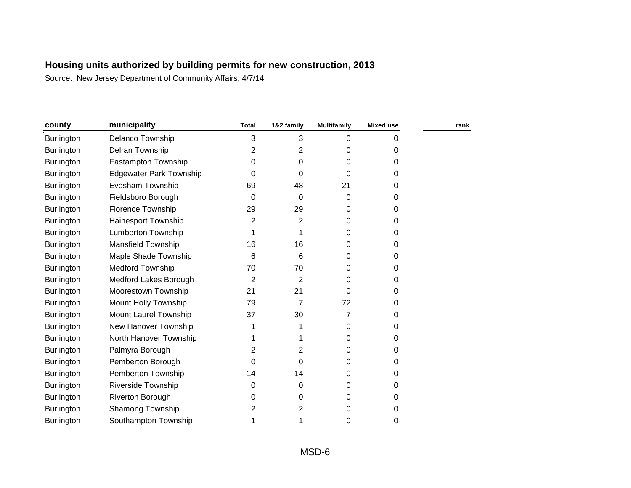| county            | municipality                   | <b>Total</b> | 1&2 family     | <b>Multifamily</b> | <b>Mixed use</b> | rank |
|-------------------|--------------------------------|--------------|----------------|--------------------|------------------|------|
| <b>Burlington</b> | Delanco Township               | 3            | 3              | 0                  | 0                |      |
| Burlington        | Delran Township                | 2            | 2              | 0                  | 0                |      |
| <b>Burlington</b> | Eastampton Township            | $\mathbf 0$  | 0              | 0                  | 0                |      |
| <b>Burlington</b> | <b>Edgewater Park Township</b> | 0            | 0              | 0                  | 0                |      |
| Burlington        | Evesham Township               | 69           | 48             | 21                 | 0                |      |
| <b>Burlington</b> | Fieldsboro Borough             | 0            | 0              | 0                  | 0                |      |
| <b>Burlington</b> | Florence Township              | 29           | 29             | 0                  | 0                |      |
| Burlington        | Hainesport Township            | 2            | $\overline{2}$ | 0                  | 0                |      |
| Burlington        | <b>Lumberton Township</b>      |              |                | 0                  | 0                |      |
| Burlington        | <b>Mansfield Township</b>      | 16           | 16             | 0                  | 0                |      |
| <b>Burlington</b> | Maple Shade Township           | 6            | 6              | 0                  | 0                |      |
| Burlington        | <b>Medford Township</b>        | 70           | 70             | 0                  | 0                |      |
| Burlington        | Medford Lakes Borough          | 2            | $\overline{2}$ | 0                  | 0                |      |
| <b>Burlington</b> | Moorestown Township            | 21           | 21             | 0                  | 0                |      |
| Burlington        | Mount Holly Township           | 79           | 7              | 72                 | 0                |      |
| <b>Burlington</b> | Mount Laurel Township          | 37           | 30             | 7                  | 0                |      |
| Burlington        | New Hanover Township           |              |                | 0                  | 0                |      |
| <b>Burlington</b> | North Hanover Township         |              |                | 0                  | 0                |      |
| Burlington        | Palmyra Borough                | 2            | 2              | 0                  | 0                |      |
| Burlington        | Pemberton Borough              | 0            | 0              | 0                  | 0                |      |
| <b>Burlington</b> | Pemberton Township             | 14           | 14             | 0                  | 0                |      |
| Burlington        | <b>Riverside Township</b>      | 0            | 0              | 0                  | 0                |      |
| <b>Burlington</b> | Riverton Borough               | 0            | 0              | 0                  | 0                |      |
| Burlington        | Shamong Township               | 2            | 2              | 0                  | 0                |      |
| Burlington        | Southampton Township           |              |                | 0                  | 0                |      |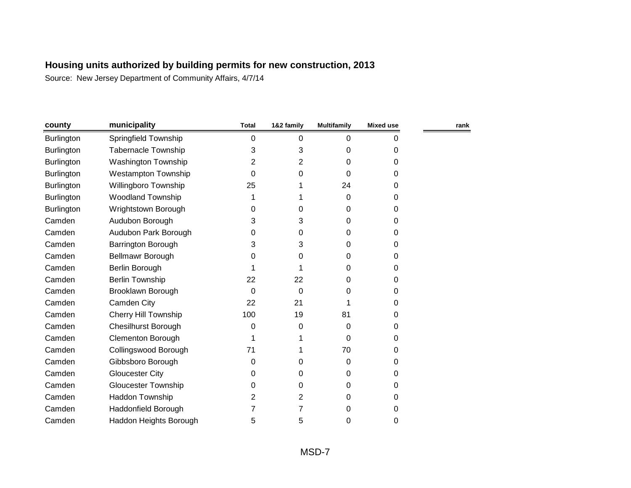| county            | municipality               | <b>Total</b> | 1&2 family | <b>Multifamily</b> | <b>Mixed use</b> | rank |
|-------------------|----------------------------|--------------|------------|--------------------|------------------|------|
| Burlington        | Springfield Township       | 0            | 0          | 0                  | 0                |      |
| <b>Burlington</b> | <b>Tabernacle Township</b> | 3            | 3          | 0                  | 0                |      |
| <b>Burlington</b> | <b>Washington Township</b> | 2            | 2          | 0                  | 0                |      |
| <b>Burlington</b> | <b>Westampton Township</b> | $\Omega$     | 0          | $\Omega$           | 0                |      |
| <b>Burlington</b> | Willingboro Township       | 25           |            | 24                 | 0                |      |
| <b>Burlington</b> | <b>Woodland Township</b>   |              |            | 0                  | 0                |      |
| Burlington        | Wrightstown Borough        | 0            | 0          | 0                  | 0                |      |
| Camden            | Audubon Borough            | 3            | 3          | 0                  | 0                |      |
| Camden            | Audubon Park Borough       | 0            | 0          | 0                  | 0                |      |
| Camden            | <b>Barrington Borough</b>  | 3            | 3          | 0                  | 0                |      |
| Camden            | Bellmawr Borough           | 0            | 0          | 0                  | 0                |      |
| Camden            | Berlin Borough             |              |            | 0                  | 0                |      |
| Camden            | <b>Berlin Township</b>     | 22           | 22         | 0                  | 0                |      |
| Camden            | Brooklawn Borough          | 0            | 0          | 0                  | 0                |      |
| Camden            | Camden City                | 22           | 21         | 1                  | 0                |      |
| Camden            | Cherry Hill Township       | 100          | 19         | 81                 | 0                |      |
| Camden            | <b>Chesilhurst Borough</b> | 0            | 0          | 0                  | 0                |      |
| Camden            | <b>Clementon Borough</b>   |              |            | 0                  | 0                |      |
| Camden            | Collingswood Borough       | 71           |            | 70                 | 0                |      |
| Camden            | Gibbsboro Borough          | 0            | 0          | 0                  | 0                |      |
| Camden            | <b>Gloucester City</b>     | 0            | 0          | 0                  | 0                |      |
| Camden            | <b>Gloucester Township</b> | 0            | 0          | 0                  | 0                |      |
| Camden            | Haddon Township            | 2            | 2          | 0                  | 0                |      |
| Camden            | Haddonfield Borough        |              | 7          | 0                  | 0                |      |
| Camden            | Haddon Heights Borough     | 5            | 5          | 0                  | 0                |      |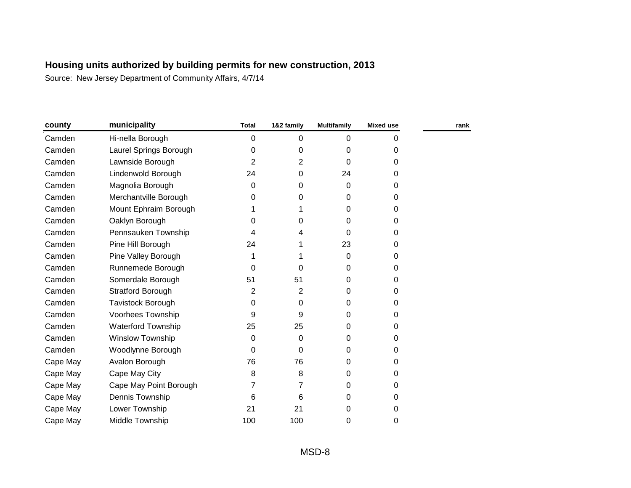| municipality              | <b>Total</b> | 1&2 family | <b>Multifamily</b> | Mixed use | rank |
|---------------------------|--------------|------------|--------------------|-----------|------|
| Hi-nella Borough          | 0            | 0          | 0                  | 0         |      |
| Laurel Springs Borough    | 0            | 0          | 0                  | 0         |      |
| Lawnside Borough          | 2            | 2          | $\Omega$           | 0         |      |
| Lindenwold Borough        | 24           | 0          | 24                 | 0         |      |
| Magnolia Borough          | 0            | 0          | 0                  | 0         |      |
| Merchantville Borough     | 0            | 0          | 0                  | 0         |      |
| Mount Ephraim Borough     |              |            | $\Omega$           | 0         |      |
| Oaklyn Borough            | 0            | 0          | 0                  | 0         |      |
| Pennsauken Township       | 4            | 4          | $\Omega$           | 0         |      |
| Pine Hill Borough         | 24           |            | 23                 | 0         |      |
| Pine Valley Borough       |              |            | $\Omega$           | 0         |      |
| Runnemede Borough         | 0            | $\Omega$   | 0                  | 0         |      |
| Somerdale Borough         | 51           | 51         | 0                  | 0         |      |
| Stratford Borough         | 2            | 2          | $\Omega$           | 0         |      |
| Tavistock Borough         | 0            | 0          | 0                  | 0         |      |
| Voorhees Township         | 9            | 9          | 0                  | 0         |      |
| <b>Waterford Township</b> | 25           | 25         | 0                  | 0         |      |
| <b>Winslow Township</b>   | 0            | 0          | $\Omega$           | 0         |      |
| Woodlynne Borough         | $\Omega$     | 0          | $\Omega$           | 0         |      |
| Avalon Borough            | 76           | 76         | 0                  | 0         |      |
| Cape May City             | 8            | 8          | 0                  | 0         |      |
| Cape May Point Borough    | 7            | 7          | $\Omega$           | 0         |      |
| Dennis Township           | 6            | 6          | 0                  | 0         |      |
| Lower Township            | 21           | 21         | 0                  | 0         |      |
| Middle Township           | 100          | 100        | 0                  | 0         |      |
|                           |              |            |                    |           |      |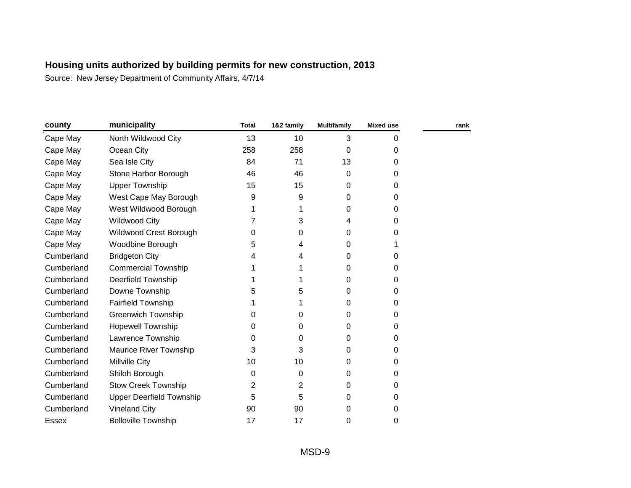| county     | municipality                    | <b>Total</b> | 1&2 family | <b>Multifamily</b> | Mixed use | rank |
|------------|---------------------------------|--------------|------------|--------------------|-----------|------|
| Cape May   | North Wildwood City             | 13           | 10         | 3                  | 0         |      |
| Cape May   | Ocean City                      | 258          | 258        | 0                  | 0         |      |
| Cape May   | Sea Isle City                   | 84           | 71         | 13                 | 0         |      |
| Cape May   | Stone Harbor Borough            | 46           | 46         | 0                  | 0         |      |
| Cape May   | <b>Upper Township</b>           | 15           | 15         | 0                  | 0         |      |
| Cape May   | West Cape May Borough           | 9            | 9          | 0                  | 0         |      |
| Cape May   | West Wildwood Borough           |              |            | 0                  | 0         |      |
| Cape May   | <b>Wildwood City</b>            |              | 3          | 4                  | 0         |      |
| Cape May   | Wildwood Crest Borough          | 0            | 0          | 0                  | 0         |      |
| Cape May   | Woodbine Borough                | 5            | 4          | 0                  |           |      |
| Cumberland | <b>Bridgeton City</b>           | 4            | 4          | 0                  | 0         |      |
| Cumberland | <b>Commercial Township</b>      |              |            | 0                  | 0         |      |
| Cumberland | <b>Deerfield Township</b>       |              |            | 0                  | 0         |      |
| Cumberland | Downe Township                  | 5            | 5          | 0                  | 0         |      |
| Cumberland | <b>Fairfield Township</b>       |              |            | 0                  | 0         |      |
| Cumberland | <b>Greenwich Township</b>       | 0            | 0          | 0                  | 0         |      |
| Cumberland | <b>Hopewell Township</b>        | 0            | 0          | 0                  | 0         |      |
| Cumberland | Lawrence Township               | 0            | 0          | 0                  | 0         |      |
| Cumberland | <b>Maurice River Township</b>   | 3            | 3          | 0                  | 0         |      |
| Cumberland | Millville City                  | 10           | 10         | 0                  | 0         |      |
| Cumberland | Shiloh Borough                  | 0            | 0          | 0                  | 0         |      |
| Cumberland | <b>Stow Creek Township</b>      | 2            | 2          | 0                  | 0         |      |
| Cumberland | <b>Upper Deerfield Township</b> | 5            | 5          | 0                  | 0         |      |
| Cumberland | <b>Vineland City</b>            | 90           | 90         | 0                  | 0         |      |
| Essex      | <b>Belleville Township</b>      | 17           | 17         | 0                  | 0         |      |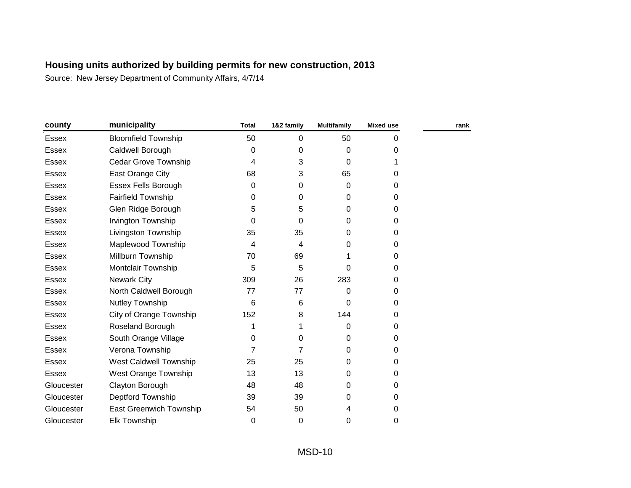| county       | municipality                   | <b>Total</b> | 1&2 family | <b>Multifamily</b> | Mixed use | rank |
|--------------|--------------------------------|--------------|------------|--------------------|-----------|------|
| Essex        | <b>Bloomfield Township</b>     | 50           | 0          | 50                 | 0         |      |
| Essex        | Caldwell Borough               | $\Omega$     | 0          | 0                  | 0         |      |
| Essex        | Cedar Grove Township           | 4            | 3          | 0                  |           |      |
| Essex        | East Orange City               | 68           | 3          | 65                 | 0         |      |
| <b>Essex</b> | <b>Essex Fells Borough</b>     | 0            | 0          | $\Omega$           | 0         |      |
| Essex        | <b>Fairfield Township</b>      | 0            | 0          | 0                  | 0         |      |
| <b>Essex</b> | Glen Ridge Borough             | 5            | 5          | 0                  | 0         |      |
| <b>Essex</b> | <b>Irvington Township</b>      | 0            | 0          | 0                  | 0         |      |
| Essex        | Livingston Township            | 35           | 35         | 0                  | 0         |      |
| <b>Essex</b> | Maplewood Township             | 4            | 4          | 0                  | 0         |      |
| Essex        | Millburn Township              | 70           | 69         |                    | 0         |      |
| <b>Essex</b> | Montclair Township             | 5            | 5          | 0                  | 0         |      |
| Essex        | <b>Newark City</b>             | 309          | 26         | 283                | 0         |      |
| <b>Essex</b> | North Caldwell Borough         | 77           | 77         | 0                  | 0         |      |
| Essex        | Nutley Township                | 6            | 6          | $\Omega$           | 0         |      |
| <b>Essex</b> | City of Orange Township        | 152          | 8          | 144                | 0         |      |
| <b>Essex</b> | Roseland Borough               |              |            | 0                  | 0         |      |
| <b>Essex</b> | South Orange Village           | 0            | 0          | 0                  | 0         |      |
| <b>Essex</b> | Verona Township                | 7            | 7          | $\Omega$           | 0         |      |
| Essex        | West Caldwell Township         | 25           | 25         | $\Omega$           | 0         |      |
| <b>Essex</b> | West Orange Township           | 13           | 13         | $\Omega$           | 0         |      |
| Gloucester   | Clayton Borough                | 48           | 48         | $\Omega$           | 0         |      |
| Gloucester   | Deptford Township              | 39           | 39         | 0                  | 0         |      |
| Gloucester   | <b>East Greenwich Township</b> | 54           | 50         | 4                  | 0         |      |
| Gloucester   | <b>Elk Township</b>            | 0            | 0          | 0                  | 0         |      |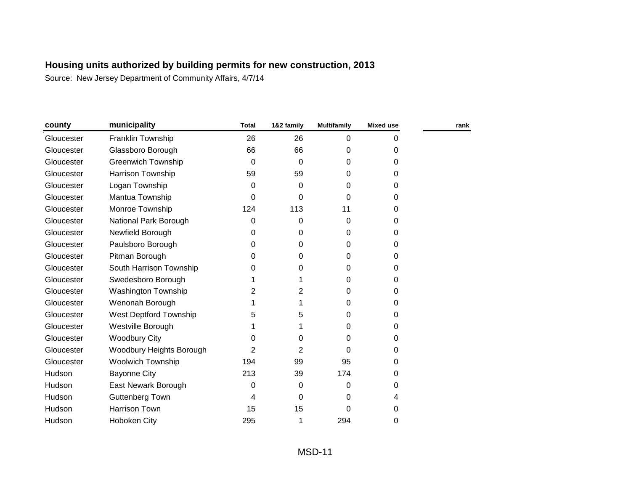| county     | municipality               | <b>Total</b> | 1&2 family     | <b>Multifamily</b> | <b>Mixed use</b> | rank |
|------------|----------------------------|--------------|----------------|--------------------|------------------|------|
| Gloucester | Franklin Township          | 26           | 26             | $\Omega$           | 0                |      |
| Gloucester | Glassboro Borough          | 66           | 66             | 0                  | 0                |      |
| Gloucester | <b>Greenwich Township</b>  | $\Omega$     | 0              | 0                  | 0                |      |
| Gloucester | Harrison Township          | 59           | 59             | 0                  | 0                |      |
| Gloucester | Logan Township             | 0            | 0              | 0                  | 0                |      |
| Gloucester | Mantua Township            | 0            | 0              | 0                  | 0                |      |
| Gloucester | Monroe Township            | 124          | 113            | 11                 | 0                |      |
| Gloucester | National Park Borough      | 0            | 0              | 0                  | 0                |      |
| Gloucester | Newfield Borough           | 0            | 0              | 0                  | 0                |      |
| Gloucester | Paulsboro Borough          | 0            | 0              | 0                  | 0                |      |
| Gloucester | Pitman Borough             | 0            | 0              | 0                  | 0                |      |
| Gloucester | South Harrison Township    | 0            | 0              | 0                  | 0                |      |
| Gloucester | Swedesboro Borough         |              | 1              | 0                  | 0                |      |
| Gloucester | <b>Washington Township</b> | 2            | 2              | 0                  | 0                |      |
| Gloucester | Wenonah Borough            |              | 1              | 0                  | 0                |      |
| Gloucester | West Deptford Township     | 5            | 5              | 0                  | 0                |      |
| Gloucester | Westville Borough          |              | 1              | 0                  | 0                |      |
| Gloucester | <b>Woodbury City</b>       | 0            | 0              | 0                  | 0                |      |
| Gloucester | Woodbury Heights Borough   | 2            | $\overline{2}$ | 0                  | 0                |      |
| Gloucester | Woolwich Township          | 194          | 99             | 95                 | 0                |      |
| Hudson     | <b>Bayonne City</b>        | 213          | 39             | 174                | 0                |      |
| Hudson     | East Newark Borough        | $\Omega$     | 0              | 0                  | 0                |      |
| Hudson     | Guttenberg Town            | 4            | 0              | 0                  | 4                |      |
| Hudson     | Harrison Town              | 15           | 15             | 0                  | 0                |      |
| Hudson     | <b>Hoboken City</b>        | 295          | 1              | 294                | 0                |      |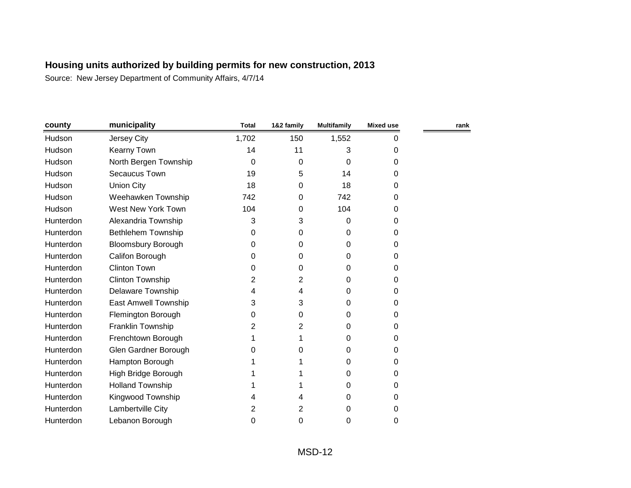| county    | municipality                | <b>Total</b> | 1&2 family | <b>Multifamily</b> | Mixed use | rank |
|-----------|-----------------------------|--------------|------------|--------------------|-----------|------|
| Hudson    | Jersey City                 | 1,702        | 150        | 1,552              | 0         |      |
| Hudson    | <b>Kearny Town</b>          | 14           | 11         | 3                  | 0         |      |
| Hudson    | North Bergen Township       | 0            | 0          | 0                  | 0         |      |
| Hudson    | Secaucus Town               | 19           | 5          | 14                 | 0         |      |
| Hudson    | <b>Union City</b>           | 18           | 0          | 18                 | 0         |      |
| Hudson    | Weehawken Township          | 742          | 0          | 742                | 0         |      |
| Hudson    | West New York Town          | 104          | 0          | 104                | 0         |      |
| Hunterdon | Alexandria Township         | 3            | 3          | 0                  | 0         |      |
| Hunterdon | Bethlehem Township          | 0            | 0          | 0                  | 0         |      |
| Hunterdon | <b>Bloomsbury Borough</b>   | 0            | 0          | 0                  | 0         |      |
| Hunterdon | Califon Borough             | 0            | 0          | 0                  | 0         |      |
| Hunterdon | <b>Clinton Town</b>         | 0            | 0          | 0                  | 0         |      |
| Hunterdon | <b>Clinton Township</b>     | 2            | 2          | 0                  | 0         |      |
| Hunterdon | <b>Delaware Township</b>    | 4            | 4          | 0                  | 0         |      |
| Hunterdon | <b>East Amwell Township</b> | 3            | 3          | 0                  | 0         |      |
| Hunterdon | Flemington Borough          | 0            | 0          | 0                  | 0         |      |
| Hunterdon | Franklin Township           | 2            | 2          | 0                  | 0         |      |
| Hunterdon | Frenchtown Borough          |              |            | 0                  | 0         |      |
| Hunterdon | Glen Gardner Borough        | 0            | 0          | 0                  | 0         |      |
| Hunterdon | Hampton Borough             |              |            | 0                  | 0         |      |
| Hunterdon | High Bridge Borough         |              |            | 0                  | 0         |      |
| Hunterdon | <b>Holland Township</b>     |              |            | 0                  | 0         |      |
| Hunterdon | Kingwood Township           |              | 4          | 0                  | 0         |      |
| Hunterdon | Lambertville City           | 2            | 2          | 0                  | 0         |      |
| Hunterdon | Lebanon Borough             | 0            | 0          | 0                  | 0         |      |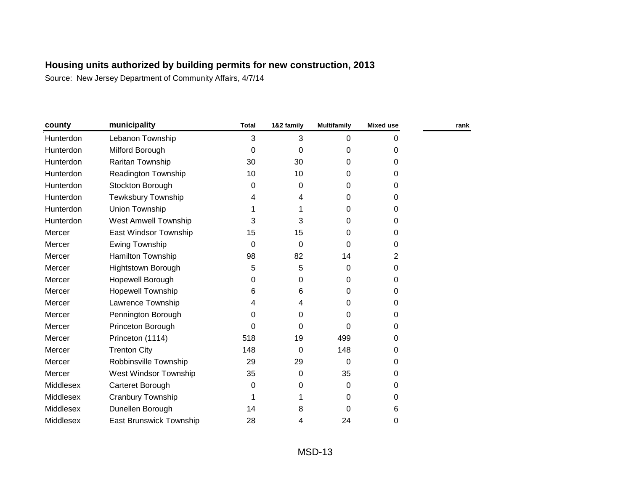| county    | municipality                   | <b>Total</b> | 1&2 family | <b>Multifamily</b> | <b>Mixed use</b> | rank |
|-----------|--------------------------------|--------------|------------|--------------------|------------------|------|
| Hunterdon | Lebanon Township               | 3            | 3          | 0                  | 0                |      |
| Hunterdon | Milford Borough                | $\Omega$     | 0          | 0                  | 0                |      |
| Hunterdon | Raritan Township               | 30           | 30         | 0                  | 0                |      |
| Hunterdon | Readington Township            | 10           | 10         | 0                  | 0                |      |
| Hunterdon | Stockton Borough               | 0            | 0          | 0                  | 0                |      |
| Hunterdon | Tewksbury Township             | 4            | 4          | 0                  | 0                |      |
| Hunterdon | Union Township                 |              |            | 0                  | 0                |      |
| Hunterdon | West Amwell Township           | 3            | 3          | 0                  | 0                |      |
| Mercer    | East Windsor Township          | 15           | 15         | 0                  | 0                |      |
| Mercer    | <b>Ewing Township</b>          | 0            | 0          | 0                  | 0                |      |
| Mercer    | Hamilton Township              | 98           | 82         | 14                 | 2                |      |
| Mercer    | <b>Hightstown Borough</b>      | 5            | 5          | 0                  | 0                |      |
| Mercer    | Hopewell Borough               | 0            | 0          | 0                  | 0                |      |
| Mercer    | <b>Hopewell Township</b>       | 6            | 6          | 0                  | 0                |      |
| Mercer    | Lawrence Township              | 4            | 4          | 0                  | $\mathbf 0$      |      |
| Mercer    | Pennington Borough             | 0            | 0          | 0                  | 0                |      |
| Mercer    | Princeton Borough              | 0            | 0          | 0                  | 0                |      |
| Mercer    | Princeton (1114)               | 518          | 19         | 499                | 0                |      |
| Mercer    | <b>Trenton City</b>            | 148          | 0          | 148                | 0                |      |
| Mercer    | Robbinsville Township          | 29           | 29         | 0                  | 0                |      |
| Mercer    | West Windsor Township          | 35           | 0          | 35                 | 0                |      |
| Middlesex | Carteret Borough               | $\Omega$     | 0          | 0                  | 0                |      |
| Middlesex | Cranbury Township              |              |            | 0                  | 0                |      |
| Middlesex | Dunellen Borough               | 14           | 8          | 0                  | 6                |      |
| Middlesex | <b>East Brunswick Township</b> | 28           | 4          | 24                 | 0                |      |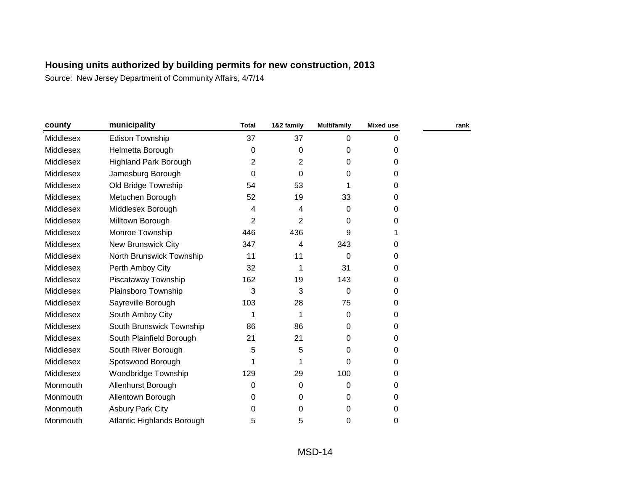| county           | municipality                 | <b>Total</b>   | 1&2 family     | <b>Multifamily</b> | Mixed use | rank |
|------------------|------------------------------|----------------|----------------|--------------------|-----------|------|
| Middlesex        | <b>Edison Township</b>       | 37             | 37             | $\mathbf{0}$       | 0         |      |
| Middlesex        | Helmetta Borough             | $\Omega$       | 0              | 0                  | 0         |      |
| Middlesex        | <b>Highland Park Borough</b> | 2              | $\overline{2}$ | 0                  | 0         |      |
| Middlesex        | Jamesburg Borough            | $\Omega$       | 0              | 0                  | 0         |      |
| Middlesex        | Old Bridge Township          | 54             | 53             | 1                  | 0         |      |
| Middlesex        | Metuchen Borough             | 52             | 19             | 33                 | 0         |      |
| Middlesex        | Middlesex Borough            | 4              | 4              | 0                  | 0         |      |
| Middlesex        | Milltown Borough             | $\overline{2}$ | $\overline{2}$ | 0                  | 0         |      |
| Middlesex        | Monroe Township              | 446            | 436            | 9                  |           |      |
| Middlesex        | <b>New Brunswick City</b>    | 347            | 4              | 343                | 0         |      |
| Middlesex        | North Brunswick Township     | 11             | 11             | 0                  | 0         |      |
| Middlesex        | Perth Amboy City             | 32             |                | 31                 | 0         |      |
| Middlesex        | Piscataway Township          | 162            | 19             | 143                | 0         |      |
| Middlesex        | Plainsboro Township          | 3              | 3              | 0                  | 0         |      |
| Middlesex        | Sayreville Borough           | 103            | 28             | 75                 | 0         |      |
| <b>Middlesex</b> | South Amboy City             | 1              | 1              | $\Omega$           | 0         |      |
| Middlesex        | South Brunswick Township     | 86             | 86             | 0                  | 0         |      |
| <b>Middlesex</b> | South Plainfield Borough     | 21             | 21             | 0                  | 0         |      |
| Middlesex        | South River Borough          | 5              | 5              | 0                  | 0         |      |
| Middlesex        | Spotswood Borough            | 1              |                | 0                  | 0         |      |
| Middlesex        | <b>Woodbridge Township</b>   | 129            | 29             | 100                | 0         |      |
| Monmouth         | Allenhurst Borough           | 0              | 0              | $\Omega$           | 0         |      |
| Monmouth         | Allentown Borough            | 0              | 0              | 0                  | 0         |      |
| Monmouth         | <b>Asbury Park City</b>      | 0              | 0              | 0                  | 0         |      |
| Monmouth         | Atlantic Highlands Borough   | 5              | 5              | 0                  | 0         |      |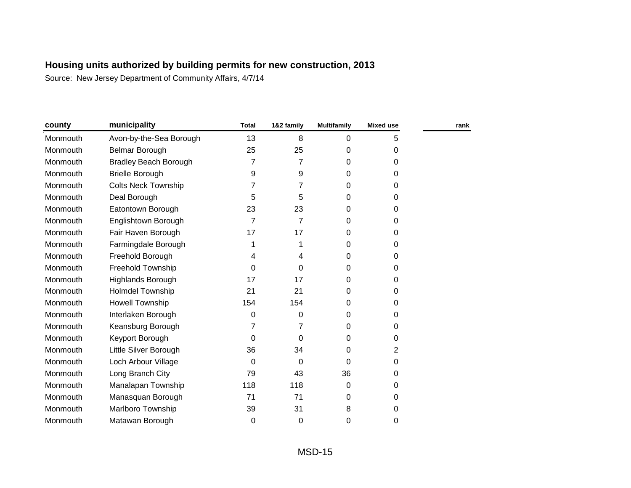| county   | municipality                 | <b>Total</b> | 1&2 family | <b>Multifamily</b> | <b>Mixed use</b> | rank |
|----------|------------------------------|--------------|------------|--------------------|------------------|------|
| Monmouth | Avon-by-the-Sea Borough      | 13           | 8          | 0                  | 5                |      |
| Monmouth | Belmar Borough               | 25           | 25         | 0                  | 0                |      |
| Monmouth | <b>Bradley Beach Borough</b> | 7            | 7          | 0                  | 0                |      |
| Monmouth | <b>Brielle Borough</b>       | 9            | 9          | 0                  | 0                |      |
| Monmouth | <b>Colts Neck Township</b>   |              | 7          | 0                  | 0                |      |
| Monmouth | Deal Borough                 | 5            | 5          | 0                  | 0                |      |
| Monmouth | Eatontown Borough            | 23           | 23         | 0                  | 0                |      |
| Monmouth | Englishtown Borough          | 7            | 7          | 0                  | 0                |      |
| Monmouth | Fair Haven Borough           | 17           | 17         | 0                  | 0                |      |
| Monmouth | Farmingdale Borough          | 1            | 1          | 0                  | 0                |      |
| Monmouth | Freehold Borough             | 4            | 4          | 0                  | 0                |      |
| Monmouth | <b>Freehold Township</b>     | $\Omega$     | 0          | 0                  | 0                |      |
| Monmouth | Highlands Borough            | 17           | 17         | 0                  | 0                |      |
| Monmouth | <b>Holmdel Township</b>      | 21           | 21         | 0                  | 0                |      |
| Monmouth | <b>Howell Township</b>       | 154          | 154        | 0                  | $\Omega$         |      |
| Monmouth | Interlaken Borough           | 0            | 0          | 0                  | 0                |      |
| Monmouth | Keansburg Borough            | 7            | 7          | 0                  | 0                |      |
| Monmouth | Keyport Borough              | $\Omega$     | 0          | 0                  | 0                |      |
| Monmouth | Little Silver Borough        | 36           | 34         | 0                  | 2                |      |
| Monmouth | Loch Arbour Village          | $\Omega$     | 0          | $\mathbf 0$        | 0                |      |
| Monmouth | Long Branch City             | 79           | 43         | 36                 | 0                |      |
| Monmouth | Manalapan Township           | 118          | 118        | 0                  | 0                |      |
| Monmouth | Manasquan Borough            | 71           | 71         | 0                  | 0                |      |
| Monmouth | Marlboro Township            | 39           | 31         | 8                  | 0                |      |
| Monmouth | Matawan Borough              | 0            | 0          | 0                  | 0                |      |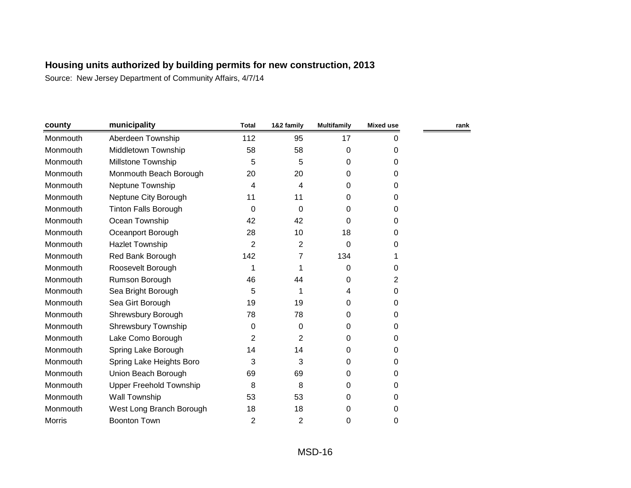| county        | municipality                   | <b>Total</b>   | 1&2 family     | <b>Multifamily</b> | <b>Mixed use</b> | rank |
|---------------|--------------------------------|----------------|----------------|--------------------|------------------|------|
| Monmouth      | Aberdeen Township              | 112            | 95             | 17                 | 0                |      |
| Monmouth      | Middletown Township            | 58             | 58             | 0                  | 0                |      |
| Monmouth      | Millstone Township             | 5              | 5              | 0                  | 0                |      |
| Monmouth      | Monmouth Beach Borough         | 20             | 20             | 0                  | 0                |      |
| Monmouth      | Neptune Township               | 4              | 4              | 0                  | 0                |      |
| Monmouth      | Neptune City Borough           | 11             | 11             | 0                  | 0                |      |
| Monmouth      | <b>Tinton Falls Borough</b>    | 0              | 0              | 0                  | 0                |      |
| Monmouth      | Ocean Township                 | 42             | 42             | 0                  | 0                |      |
| Monmouth      | Oceanport Borough              | 28             | 10             | 18                 | 0                |      |
| Monmouth      | <b>Hazlet Township</b>         | $\overline{2}$ | $\overline{2}$ | 0                  | 0                |      |
| Monmouth      | Red Bank Borough               | 142            | 7              | 134                | 1                |      |
| Monmouth      | Roosevelt Borough              | 1              |                | 0                  | 0                |      |
| Monmouth      | Rumson Borough                 | 46             | 44             | 0                  | 2                |      |
| Monmouth      | Sea Bright Borough             | 5              |                | 4                  | 0                |      |
| Monmouth      | Sea Girt Borough               | 19             | 19             | 0                  | 0                |      |
| Monmouth      | Shrewsbury Borough             | 78             | 78             | 0                  | 0                |      |
| Monmouth      | <b>Shrewsbury Township</b>     | 0              | 0              | 0                  | 0                |      |
| Monmouth      | Lake Como Borough              | 2              | 2              | 0                  | 0                |      |
| Monmouth      | Spring Lake Borough            | 14             | 14             | 0                  | 0                |      |
| Monmouth      | Spring Lake Heights Boro       | 3              | 3              | 0                  | 0                |      |
| Monmouth      | Union Beach Borough            | 69             | 69             | 0                  | 0                |      |
| Monmouth      | <b>Upper Freehold Township</b> | 8              | 8              | 0                  | 0                |      |
| Monmouth      | Wall Township                  | 53             | 53             | 0                  | 0                |      |
| Monmouth      | West Long Branch Borough       | 18             | 18             | 0                  | 0                |      |
| <b>Morris</b> | <b>Boonton Town</b>            | $\overline{2}$ | $\overline{2}$ | 0                  | 0                |      |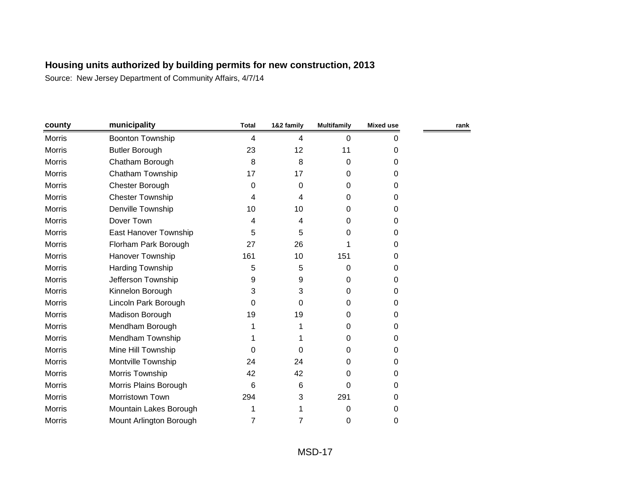| county        | municipality            | <b>Total</b>   | 1&2 family | <b>Multifamily</b> | <b>Mixed use</b> | rank |
|---------------|-------------------------|----------------|------------|--------------------|------------------|------|
| Morris        | <b>Boonton Township</b> | $\overline{4}$ | 4          | 0                  | 0                |      |
| Morris        | <b>Butler Borough</b>   | 23             | 12         | 11                 | 0                |      |
| Morris        | Chatham Borough         | 8              | 8          | 0                  | 0                |      |
| <b>Morris</b> | Chatham Township        | 17             | 17         | 0                  | 0                |      |
| Morris        | Chester Borough         | 0              | 0          | 0                  | 0                |      |
| <b>Morris</b> | <b>Chester Township</b> | 4              | 4          | 0                  | 0                |      |
| Morris        | Denville Township       | 10             | 10         | 0                  | 0                |      |
| <b>Morris</b> | Dover Town              | 4              | 4          | 0                  | 0                |      |
| <b>Morris</b> | East Hanover Township   | 5              | 5          | 0                  | 0                |      |
| Morris        | Florham Park Borough    | 27             | 26         |                    | 0                |      |
| <b>Morris</b> | Hanover Township        | 161            | 10         | 151                | 0                |      |
| Morris        | Harding Township        | 5              | 5          | 0                  | 0                |      |
| <b>Morris</b> | Jefferson Township      | 9              | 9          | 0                  | 0                |      |
| Morris        | Kinnelon Borough        | 3              | 3          | 0                  | 0                |      |
| <b>Morris</b> | Lincoln Park Borough    | 0              | 0          | 0                  | 0                |      |
| Morris        | Madison Borough         | 19             | 19         | 0                  | 0                |      |
| <b>Morris</b> | Mendham Borough         |                |            | 0                  | 0                |      |
| <b>Morris</b> | Mendham Township        |                |            | 0                  | 0                |      |
| <b>Morris</b> | Mine Hill Township      | 0              | 0          | 0                  | 0                |      |
| <b>Morris</b> | Montville Township      | 24             | 24         | 0                  | 0                |      |
| Morris        | Morris Township         | 42             | 42         | 0                  | 0                |      |
| <b>Morris</b> | Morris Plains Borough   | 6              | 6          | 0                  | 0                |      |
| Morris        | Morristown Town         | 294            | 3          | 291                | 0                |      |
| <b>Morris</b> | Mountain Lakes Borough  | 1              |            | 0                  | 0                |      |
| <b>Morris</b> | Mount Arlington Borough | 7              | 7          | 0                  | 0                |      |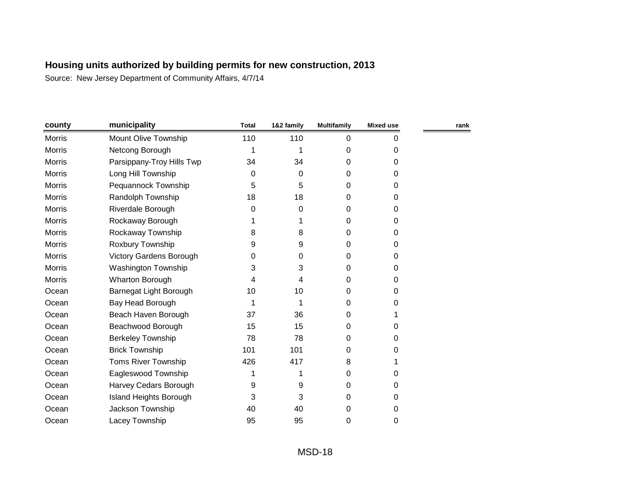| county        | municipality                   | <b>Total</b> | 1&2 family | <b>Multifamily</b> | <b>Mixed use</b> | rank |
|---------------|--------------------------------|--------------|------------|--------------------|------------------|------|
| <b>Morris</b> | Mount Olive Township           | 110          | 110        | $\mathbf 0$        | 0                |      |
| <b>Morris</b> | Netcong Borough                | 1            | 1          | 0                  | 0                |      |
| <b>Morris</b> | Parsippany-Troy Hills Twp      | 34           | 34         | 0                  | 0                |      |
| Morris        | Long Hill Township             | 0            | 0          | 0                  | 0                |      |
| <b>Morris</b> | Pequannock Township            | 5            | 5          | 0                  | 0                |      |
| Morris        | Randolph Township              | 18           | 18         | 0                  | 0                |      |
| <b>Morris</b> | Riverdale Borough              | $\Omega$     | 0          | 0                  | 0                |      |
| Morris        | Rockaway Borough               |              |            | 0                  | 0                |      |
| <b>Morris</b> | Rockaway Township              | 8            | 8          | 0                  | 0                |      |
| <b>Morris</b> | Roxbury Township               | 9            | 9          | 0                  | 0                |      |
| Morris        | <b>Victory Gardens Borough</b> | 0            | 0          | 0                  | 0                |      |
| <b>Morris</b> | <b>Washington Township</b>     | 3            | 3          | 0                  | 0                |      |
| Morris        | <b>Wharton Borough</b>         | 4            | 4          | 0                  | 0                |      |
| Ocean         | Barnegat Light Borough         | 10           | 10         | 0                  | 0                |      |
| Ocean         | Bay Head Borough               | 1            | 1          | 0                  | 0                |      |
| Ocean         | Beach Haven Borough            | 37           | 36         | 0                  |                  |      |
| Ocean         | Beachwood Borough              | 15           | 15         | 0                  | 0                |      |
| Ocean         | <b>Berkeley Township</b>       | 78           | 78         | 0                  | 0                |      |
| Ocean         | <b>Brick Township</b>          | 101          | 101        | 0                  | 0                |      |
| Ocean         | <b>Toms River Township</b>     | 426          | 417        | 8                  |                  |      |
| Ocean         | Eagleswood Township            | 1            | 1          | 0                  | 0                |      |
| Ocean         | Harvey Cedars Borough          | 9            | 9          | 0                  | 0                |      |
| Ocean         | <b>Island Heights Borough</b>  | 3            | 3          | 0                  | 0                |      |
| Ocean         | Jackson Township               | 40           | 40         | 0                  | 0                |      |
| Ocean         | Lacey Township                 | 95           | 95         | 0                  | 0                |      |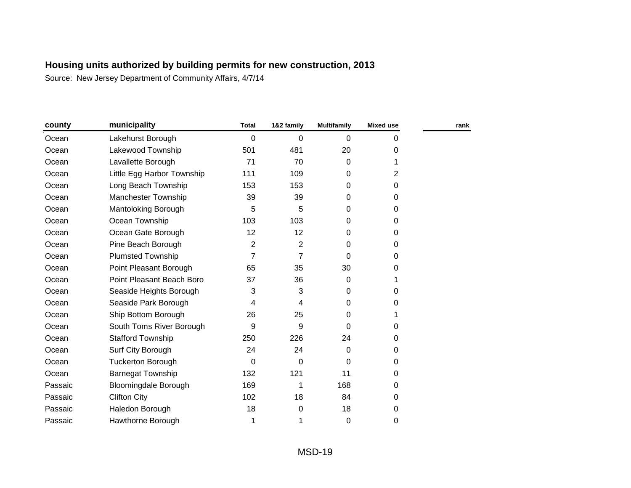| county  | municipality                | <b>Total</b>   | 1&2 family     | <b>Multifamily</b> | <b>Mixed use</b> | rank |
|---------|-----------------------------|----------------|----------------|--------------------|------------------|------|
| Ocean   | Lakehurst Borough           | $\Omega$       | 0              | 0                  | 0                |      |
| Ocean   | Lakewood Township           | 501            | 481            | 20                 | 0                |      |
| Ocean   | Lavallette Borough          | 71             | 70             | 0                  |                  |      |
| Ocean   | Little Egg Harbor Township  | 111            | 109            | 0                  | 2                |      |
| Ocean   | Long Beach Township         | 153            | 153            | 0                  | 0                |      |
| Ocean   | Manchester Township         | 39             | 39             | 0                  | $\Omega$         |      |
| Ocean   | Mantoloking Borough         | 5              | 5              | 0                  | $\Omega$         |      |
| Ocean   | Ocean Township              | 103            | 103            | 0                  | $\Omega$         |      |
| Ocean   | Ocean Gate Borough          | 12             | 12             | 0                  | 0                |      |
| Ocean   | Pine Beach Borough          | $\overline{2}$ | $\overline{2}$ | 0                  | 0                |      |
| Ocean   | <b>Plumsted Township</b>    | 7              | 7              | $\mathbf 0$        | 0                |      |
| Ocean   | Point Pleasant Borough      | 65             | 35             | 30                 | 0                |      |
| Ocean   | Point Pleasant Beach Boro   | 37             | 36             | 0                  |                  |      |
| Ocean   | Seaside Heights Borough     | 3              | 3              | 0                  | 0                |      |
| Ocean   | Seaside Park Borough        | 4              | 4              | 0                  | 0                |      |
| Ocean   | Ship Bottom Borough         | 26             | 25             | 0                  |                  |      |
| Ocean   | South Toms River Borough    | 9              | 9              | 0                  | 0                |      |
| Ocean   | <b>Stafford Township</b>    | 250            | 226            | 24                 | 0                |      |
| Ocean   | Surf City Borough           | 24             | 24             | 0                  | 0                |      |
| Ocean   | <b>Tuckerton Borough</b>    | $\Omega$       | 0              | 0                  | 0                |      |
| Ocean   | <b>Barnegat Township</b>    | 132            | 121            | 11                 | 0                |      |
| Passaic | <b>Bloomingdale Borough</b> | 169            | 1              | 168                | 0                |      |
| Passaic | <b>Clifton City</b>         | 102            | 18             | 84                 | 0                |      |
| Passaic | Haledon Borough             | 18             | 0              | 18                 | 0                |      |
| Passaic | Hawthorne Borough           | 1              |                | 0                  | 0                |      |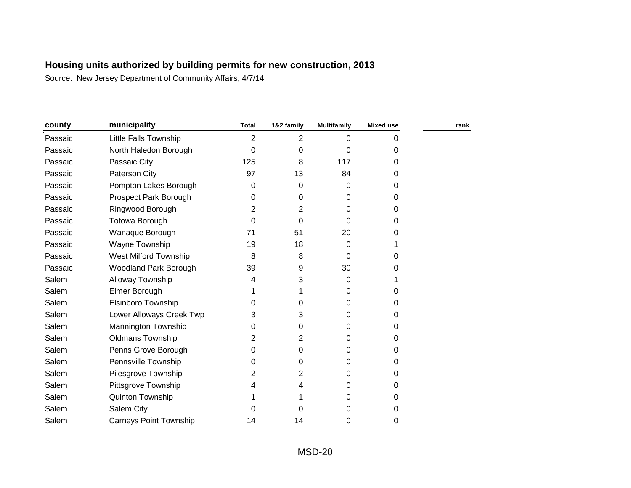| county  | municipality                  | <b>Total</b> | 1&2 family     | <b>Multifamily</b> | <b>Mixed use</b> | rank |
|---------|-------------------------------|--------------|----------------|--------------------|------------------|------|
| Passaic | Little Falls Township         | 2            | 2              | $\Omega$           | 0                |      |
| Passaic | North Haledon Borough         | 0            | 0              | 0                  | 0                |      |
| Passaic | Passaic City                  | 125          | 8              | 117                | 0                |      |
| Passaic | Paterson City                 | 97           | 13             | 84                 | 0                |      |
| Passaic | Pompton Lakes Borough         | 0            | 0              | 0                  | 0                |      |
| Passaic | Prospect Park Borough         | 0            | 0              | 0                  | 0                |      |
| Passaic | Ringwood Borough              | 2            | 2              | 0                  | 0                |      |
| Passaic | Totowa Borough                | 0            | $\Omega$       | $\Omega$           | 0                |      |
| Passaic | Wanaque Borough               | 71           | 51             | 20                 | 0                |      |
| Passaic | Wayne Township                | 19           | 18             | 0                  |                  |      |
| Passaic | West Milford Township         | 8            | 8              | $\Omega$           | 0                |      |
| Passaic | <b>Woodland Park Borough</b>  | 39           | 9              | 30                 | 0                |      |
| Salem   | Alloway Township              | 4            | 3              | 0                  |                  |      |
| Salem   | Elmer Borough                 |              | 1              | 0                  | 0                |      |
| Salem   | <b>Elsinboro Township</b>     | 0            | 0              | 0                  | 0                |      |
| Salem   | Lower Alloways Creek Twp      | 3            | 3              | 0                  | 0                |      |
| Salem   | Mannington Township           | 0            | 0              | 0                  | 0                |      |
| Salem   | <b>Oldmans Township</b>       | 2            | $\overline{2}$ | 0                  | 0                |      |
| Salem   | Penns Grove Borough           | 0            | 0              | 0                  | 0                |      |
| Salem   | Pennsville Township           | 0            | 0              | 0                  | 0                |      |
| Salem   | Pilesgrove Township           | 2            | 2              | 0                  | 0                |      |
| Salem   | Pittsgrove Township           | 4            | 4              | 0                  | 0                |      |
| Salem   | Quinton Township              |              |                | 0                  | 0                |      |
| Salem   | Salem City                    | 0            | 0              | 0                  | 0                |      |
| Salem   | <b>Carneys Point Township</b> | 14           | 14             | 0                  | 0                |      |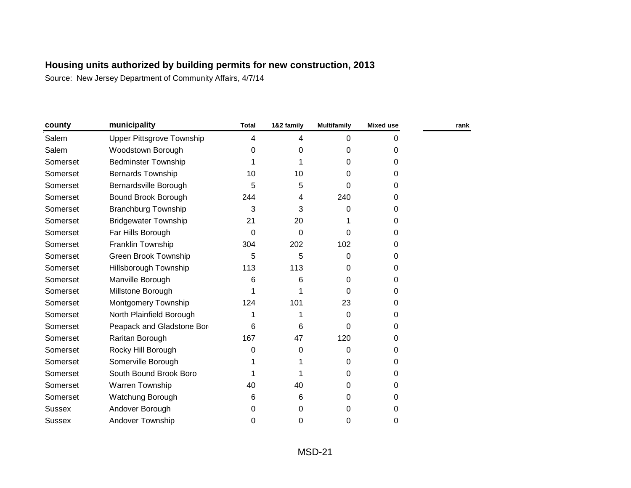| county        | municipality                     | <b>Total</b> | 1&2 family | <b>Multifamily</b> | Mixed use | rank |
|---------------|----------------------------------|--------------|------------|--------------------|-----------|------|
| Salem         | <b>Upper Pittsgrove Township</b> | 4            | 4          | $\Omega$           | 0         |      |
| Salem         | Woodstown Borough                | 0            | 0          | 0                  | 0         |      |
| Somerset      | <b>Bedminster Township</b>       |              |            | 0                  | 0         |      |
| Somerset      | <b>Bernards Township</b>         | 10           | 10         | $\Omega$           | 0         |      |
| Somerset      | Bernardsville Borough            | 5            | 5          | $\Omega$           | 0         |      |
| Somerset      | Bound Brook Borough              | 244          | 4          | 240                | 0         |      |
| Somerset      | <b>Branchburg Township</b>       | 3            | 3          | 0                  | 0         |      |
| Somerset      | <b>Bridgewater Township</b>      | 21           | 20         |                    | 0         |      |
| Somerset      | Far Hills Borough                | $\Omega$     | 0          | 0                  | 0         |      |
| Somerset      | Franklin Township                | 304          | 202        | 102                | 0         |      |
| Somerset      | Green Brook Township             | 5            | 5          | 0                  | 0         |      |
| Somerset      | <b>Hillsborough Township</b>     | 113          | 113        | 0                  | 0         |      |
| Somerset      | Manville Borough                 | 6            | 6          | 0                  | 0         |      |
| Somerset      | Millstone Borough                |              |            | 0                  | 0         |      |
| Somerset      | Montgomery Township              | 124          | 101        | 23                 | 0         |      |
| Somerset      | North Plainfield Borough         |              |            | 0                  | 0         |      |
| Somerset      | Peapack and Gladstone Bor        | 6            | 6          | 0                  | 0         |      |
| Somerset      | Raritan Borough                  | 167          | 47         | 120                | 0         |      |
| Somerset      | Rocky Hill Borough               | $\Omega$     | 0          | 0                  | 0         |      |
| Somerset      | Somerville Borough               |              |            | 0                  | 0         |      |
| Somerset      | South Bound Brook Boro           |              |            | 0                  | 0         |      |
| Somerset      | Warren Township                  | 40           | 40         | 0                  | 0         |      |
| Somerset      | Watchung Borough                 | 6            | 6          | 0                  | 0         |      |
| <b>Sussex</b> | Andover Borough                  | 0            | 0          | 0                  | 0         |      |
| <b>Sussex</b> | <b>Andover Township</b>          | 0            | 0          | 0                  | 0         |      |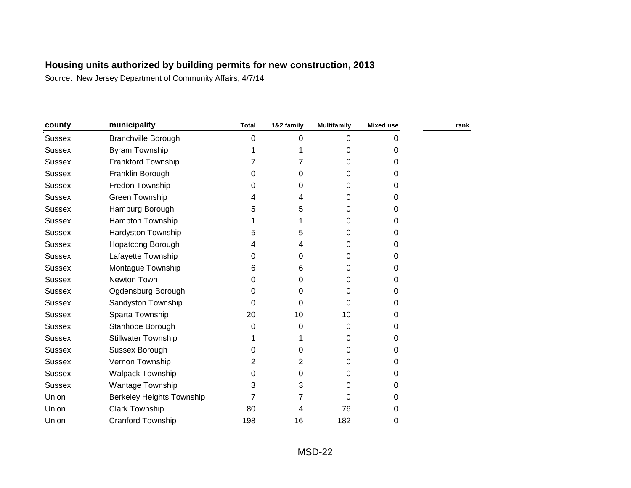| county        | municipality                     | <b>Total</b> | 1&2 family | <b>Multifamily</b> | Mixed use | rank |
|---------------|----------------------------------|--------------|------------|--------------------|-----------|------|
| <b>Sussex</b> | <b>Branchville Borough</b>       | 0            | 0          | 0                  | 0         |      |
| <b>Sussex</b> | Byram Township                   |              |            | 0                  | 0         |      |
| <b>Sussex</b> | Frankford Township               |              |            | 0                  | 0         |      |
| <b>Sussex</b> | Franklin Borough                 | 0            | 0          | 0                  | 0         |      |
| <b>Sussex</b> | Fredon Township                  | 0            | 0          | 0                  | 0         |      |
| <b>Sussex</b> | Green Township                   | 4            | 4          | 0                  | 0         |      |
| <b>Sussex</b> | Hamburg Borough                  | 5            | 5          | 0                  | 0         |      |
| <b>Sussex</b> | Hampton Township                 |              |            | 0                  | 0         |      |
| <b>Sussex</b> | Hardyston Township               | 5            | 5          | 0                  | 0         |      |
| <b>Sussex</b> | <b>Hopatcong Borough</b>         | 4            | 4          | 0                  | 0         |      |
| <b>Sussex</b> | Lafayette Township               | 0            | 0          | 0                  | 0         |      |
| <b>Sussex</b> | Montague Township                | 6            | 6          | 0                  | 0         |      |
| <b>Sussex</b> | Newton Town                      | 0            | 0          | 0                  | 0         |      |
| <b>Sussex</b> | Ogdensburg Borough               | 0            | 0          | 0                  | 0         |      |
| <b>Sussex</b> | Sandyston Township               | 0            | 0          | 0                  | 0         |      |
| <b>Sussex</b> | Sparta Township                  | 20           | 10         | 10                 | 0         |      |
| <b>Sussex</b> | Stanhope Borough                 | 0            | 0          | 0                  | 0         |      |
| <b>Sussex</b> | <b>Stillwater Township</b>       |              |            | 0                  | 0         |      |
| <b>Sussex</b> | Sussex Borough                   | 0            | 0          | 0                  | 0         |      |
| <b>Sussex</b> | Vernon Township                  | 2            | 2          | 0                  | 0         |      |
| <b>Sussex</b> | Walpack Township                 | 0            | 0          | 0                  | 0         |      |
| <b>Sussex</b> | Wantage Township                 | 3            | 3          | 0                  | 0         |      |
| Union         | <b>Berkeley Heights Township</b> | 7            | 7          | 0                  | 0         |      |
| Union         | <b>Clark Township</b>            | 80           | 4          | 76                 | 0         |      |
| Union         | <b>Cranford Township</b>         | 198          | 16         | 182                | 0         |      |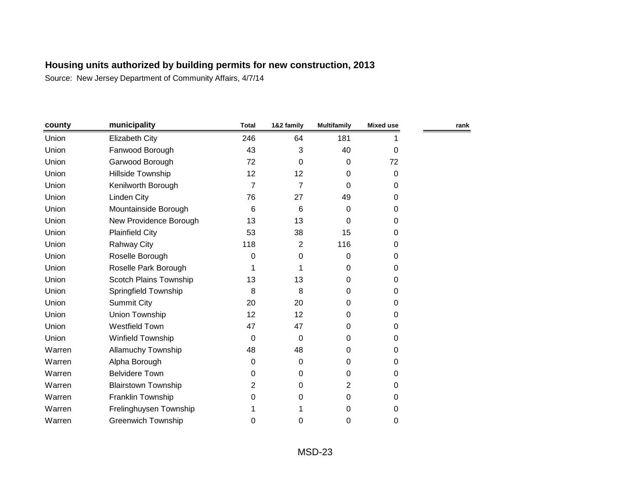| county | municipality               | <b>Total</b> | 1&2 family | <b>Multifamily</b> | <b>Mixed use</b> | rank |
|--------|----------------------------|--------------|------------|--------------------|------------------|------|
| Union  | <b>Elizabeth City</b>      | 246          | 64         | 181                |                  |      |
| Union  | Fanwood Borough            | 43           | 3          | 40                 | $\Omega$         |      |
| Union  | Garwood Borough            | 72           | $\Omega$   | 0                  | 72               |      |
| Union  | Hillside Township          | 12           | 12         | 0                  | 0                |      |
| Union  | Kenilworth Borough         | 7            | 7          | 0                  | 0                |      |
| Union  | Linden City                | 76           | 27         | 49                 | 0                |      |
| Union  | Mountainside Borough       | 6            | 6          | 0                  | 0                |      |
| Union  | New Providence Borough     | 13           | 13         | 0                  | 0                |      |
| Union  | <b>Plainfield City</b>     | 53           | 38         | 15                 | 0                |      |
| Union  | Rahway City                | 118          | 2          | 116                | 0                |      |
| Union  | Roselle Borough            | 0            | 0          | 0                  | 0                |      |
| Union  | Roselle Park Borough       | 1            |            | 0                  | 0                |      |
| Union  | Scotch Plains Township     | 13           | 13         | 0                  | 0                |      |
| Union  | Springfield Township       | 8            | 8          | 0                  | 0                |      |
| Union  | <b>Summit City</b>         | 20           | 20         | 0                  | 0                |      |
| Union  | Union Township             | 12           | 12         | 0                  | 0                |      |
| Union  | <b>Westfield Town</b>      | 47           | 47         | 0                  | 0                |      |
| Union  | Winfield Township          | 0            | $\Omega$   | 0                  | 0                |      |
| Warren | <b>Allamuchy Township</b>  | 48           | 48         | 0                  | 0                |      |
| Warren | Alpha Borough              | 0            | 0          | 0                  | 0                |      |
| Warren | <b>Belvidere Town</b>      | 0            | 0          | 0                  | 0                |      |
| Warren | <b>Blairstown Township</b> | 2            | 0          | 2                  | 0                |      |
| Warren | Franklin Township          | 0            | 0          | 0                  | 0                |      |
| Warren | Frelinghuysen Township     |              |            | 0                  | 0                |      |
| Warren | <b>Greenwich Township</b>  | 0            | 0          | 0                  | 0                |      |